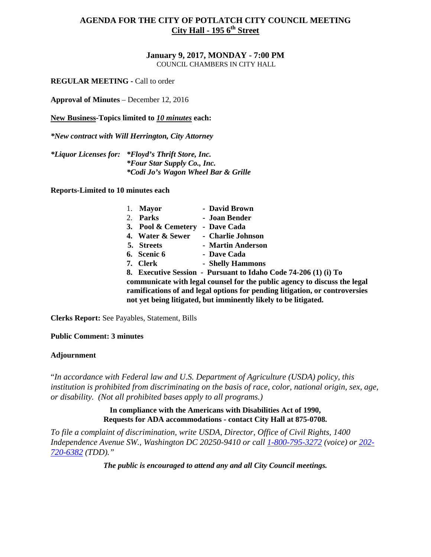**January 9, 2017, MONDAY - 7:00 PM**  COUNCIL CHAMBERS IN CITY HALL

**REGULAR MEETING -** Call to order

**Approval of Minutes** – December 12, 2016

**New Business-Topics limited to** *10 minutes* **each:** 

*\*New contract with Will Herrington, City Attorney*

*\*Liquor Licenses for: \*Floyd's Thrift Store, Inc. \*Four Star Supply Co., Inc. \*Codi Jo's Wagon Wheel Bar & Grille* 

**Reports-Limited to 10 minutes each**

|    | <b>Mayor</b>       | - David Brown                                                               |
|----|--------------------|-----------------------------------------------------------------------------|
| 2. | Parks              | - Joan Bender                                                               |
|    | 3. Pool & Cemetery | - Dave Cada                                                                 |
|    | 4. Water & Sewer   | - Charlie Johnson                                                           |
|    | 5. Streets         | - Martin Anderson                                                           |
|    | 6. Scenic 6        | - Dave Cada                                                                 |
|    | 7. Clerk           | - Shelly Hammons                                                            |
|    |                    | 8. Executive Session - Pursuant to Idaho Code 74-206 (1) (i) To             |
|    |                    | communicate with legal counsel for the public agency to discuss the legal   |
|    |                    | ramifications of and legal options for pending litigation, or controversies |
|    |                    | not yet being litigated, but imminently likely to be litigated.             |

**Clerks Report:** See Payables, Statement, Bills

**Public Comment: 3 minutes**

### **Adjournment**

"*In accordance with Federal law and U.S. Department of Agriculture (USDA) policy, this institution is prohibited from discriminating on the basis of race, color, national origin, sex, age, or disability. (Not all prohibited bases apply to all programs.)* 

# **In compliance with the Americans with Disabilities Act of 1990, Requests for ADA accommodations - contact City Hall at 875-0708.**

*To file a complaint of discrimination, write USDA, Director, Office of Civil Rights, 1400 Independence Avenue SW., Washington DC 20250-9410 or call [1-800-795-3272](http://www.cityofnezperce.com/1-800-795-3272) (voice) or [202-](http://www.cityofnezperce.com/202-720-6382) [720-6382](http://www.cityofnezperce.com/202-720-6382) (TDD)."*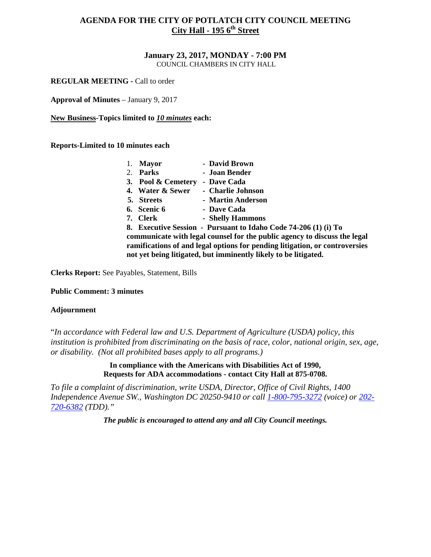#### **January 23, 2017, MONDAY - 7:00 PM**  COUNCIL CHAMBERS IN CITY HALL

**REGULAR MEETING - Call to order** 

**Approval of Minutes** – January 9, 2017

**New Business-Topics limited to** *10 minutes* **each:** 

**Reports-Limited to 10 minutes each**

|    | <b>Mayor</b>       | - David Brown                                                               |
|----|--------------------|-----------------------------------------------------------------------------|
| 2. | Parks              | - Joan Bender                                                               |
|    | 3. Pool & Cemetery | - Dave Cada                                                                 |
|    | 4. Water & Sewer   | - Charlie Johnson                                                           |
|    | 5. Streets         | - Martin Anderson                                                           |
|    | 6. Scenic 6        | - Dave Cada                                                                 |
|    | 7. Clerk           | - Shelly Hammons                                                            |
|    |                    | 8. Executive Session - Pursuant to Idaho Code 74-206 (1) (i) To             |
|    |                    | communicate with legal counsel for the public agency to discuss the legal   |
|    |                    | ramifications of and legal options for pending litigation, or controversies |
|    |                    | not yet being litigated, but imminently likely to be litigated.             |

**Clerks Report:** See Payables, Statement, Bills

**Public Comment: 3 minutes**

### **Adjournment**

"*In accordance with Federal law and U.S. Department of Agriculture (USDA) policy, this institution is prohibited from discriminating on the basis of race, color, national origin, sex, age, or disability. (Not all prohibited bases apply to all programs.)* 

> **In compliance with the Americans with Disabilities Act of 1990, Requests for ADA accommodations - contact City Hall at 875-0708.**

*To file a complaint of discrimination, write USDA, Director, Office of Civil Rights, 1400 Independence Avenue SW., Washington DC 20250-9410 or call [1-800-795-3272](http://www.cityofnezperce.com/1-800-795-3272) (voice) or [202-](http://www.cityofnezperce.com/202-720-6382) [720-6382](http://www.cityofnezperce.com/202-720-6382) (TDD)."*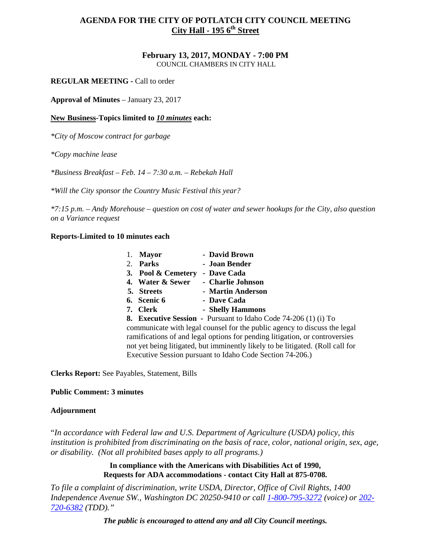### **February 13, 2017, MONDAY - 7:00 PM**  COUNCIL CHAMBERS IN CITY HALL

**REGULAR MEETING -** Call to order

**Approval of Minutes** – January 23, 2017

# **New Business-Topics limited to** *10 minutes* **each:**

*\*City of Moscow contract for garbage* 

*\*Copy machine lease* 

*\*Business Breakfast – Feb. 14 – 7:30 a.m. – Rebekah Hall* 

*\*Will the City sponsor the Country Music Festival this year?*

*\*7:15 p.m. – Andy Morehouse – question on cost of water and sewer hookups for the City, also question on a Variance request* 

# **Reports-Limited to 10 minutes each**

| <b>Mayor</b>       | - David Brown                                                                  |
|--------------------|--------------------------------------------------------------------------------|
| Parks<br>2.        | - Joan Bender                                                                  |
| 3. Pool & Cemetery | - Dave Cada                                                                    |
| 4. Water & Sewer   | - Charlie Johnson                                                              |
| 5. Streets         | - Martin Anderson                                                              |
| 6. Scenic 6        | - Dave Cada                                                                    |
| 7. Clerk           | - Shelly Hammons                                                               |
|                    | <b>8. Executive Session</b> - Pursuant to Idaho Code 74-206 (1) (i) To         |
|                    | communicate with legal counsel for the public agency to discuss the legal      |
|                    | ramifications of and legal options for pending litigation, or controversies    |
|                    | not yet being litigated, but imminently likely to be litigated. (Roll call for |

**Clerks Report:** See Payables, Statement, Bills

# **Public Comment: 3 minutes**

# **Adjournment**

"*In accordance with Federal law and U.S. Department of Agriculture (USDA) policy, this institution is prohibited from discriminating on the basis of race, color, national origin, sex, age, or disability. (Not all prohibited bases apply to all programs.)* 

Executive Session pursuant to Idaho Code Section 74-206.)

**In compliance with the Americans with Disabilities Act of 1990, Requests for ADA accommodations - contact City Hall at 875-0708.** 

*To file a complaint of discrimination, write USDA, Director, Office of Civil Rights, 1400 Independence Avenue SW., Washington DC 20250-9410 or call [1-800-795-3272](http://www.cityofnezperce.com/1-800-795-3272) (voice) or [202-](http://www.cityofnezperce.com/202-720-6382) [720-6382](http://www.cityofnezperce.com/202-720-6382) (TDD)."*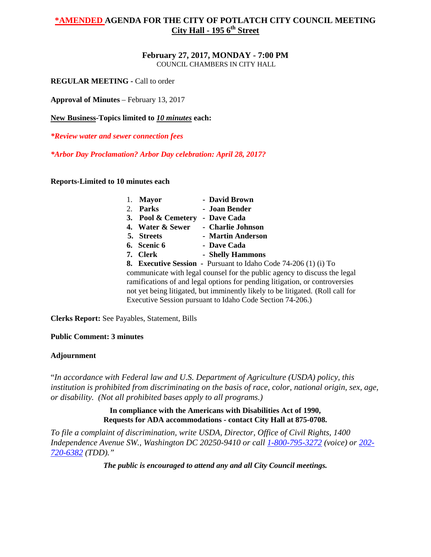**February 27, 2017, MONDAY - 7:00 PM**  COUNCIL CHAMBERS IN CITY HALL

**REGULAR MEETING -** Call to order

**Approval of Minutes** – February 13, 2017

**New Business-Topics limited to** *10 minutes* **each:** 

*\*Review water and sewer connection fees*

*\*Arbor Day Proclamation? Arbor Day celebration: April 28, 2017?*

**Reports-Limited to 10 minutes each**

| <b>Mayor</b>       | - David Brown                                                                  |
|--------------------|--------------------------------------------------------------------------------|
| Parks              | - Joan Bender                                                                  |
| 3. Pool & Cemetery | - Dave Cada                                                                    |
| 4. Water & Sewer   | - Charlie Johnson                                                              |
| 5. Streets         | - Martin Anderson                                                              |
| 6. Scenic 6        | - Dave Cada                                                                    |
| 7. Clerk           | - Shelly Hammons                                                               |
|                    | <b>8. Executive Session</b> - Pursuant to Idaho Code 74-206 (1) (i) To         |
|                    | communicate with legal counsel for the public agency to discuss the legal      |
|                    | ramifications of and legal options for pending litigation, or controversies    |
|                    | not yet being litigated, but imminently likely to be litigated. (Roll call for |
|                    | Executive Session pursuant to Idaho Code Section 74-206.)                      |

**Clerks Report:** See Payables, Statement, Bills

**Public Comment: 3 minutes**

### **Adjournment**

"*In accordance with Federal law and U.S. Department of Agriculture (USDA) policy, this institution is prohibited from discriminating on the basis of race, color, national origin, sex, age, or disability. (Not all prohibited bases apply to all programs.)* 

# **In compliance with the Americans with Disabilities Act of 1990, Requests for ADA accommodations - contact City Hall at 875-0708.**

*To file a complaint of discrimination, write USDA, Director, Office of Civil Rights, 1400 Independence Avenue SW., Washington DC 20250-9410 or call [1-800-795-3272](http://www.cityofnezperce.com/1-800-795-3272) (voice) or [202-](http://www.cityofnezperce.com/202-720-6382) [720-6382](http://www.cityofnezperce.com/202-720-6382) (TDD)."*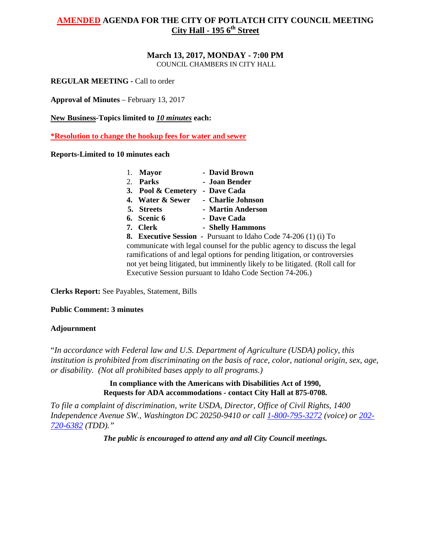# **March 13, 2017, MONDAY - 7:00 PM**

COUNCIL CHAMBERS IN CITY HALL

**REGULAR MEETING -** Call to order

**Approval of Minutes** – February 13, 2017

**New Business-Topics limited to** *10 minutes* **each:** 

**\*Resolution to change the hookup fees for water and sewer**

# **Reports-Limited to 10 minutes each**

|    | <b>Mayor</b>       | - David Brown                                                                  |
|----|--------------------|--------------------------------------------------------------------------------|
| 2. | Parks              | - Joan Bender                                                                  |
|    | 3. Pool & Cemetery | - Dave Cada                                                                    |
|    | 4. Water & Sewer   | - Charlie Johnson                                                              |
|    | 5. Streets         | - Martin Anderson                                                              |
|    | 6. Scenic 6        | - Dave Cada                                                                    |
| 7. | <b>Clerk</b>       | - Shelly Hammons                                                               |
|    |                    | <b>8. Executive Session</b> - Pursuant to Idaho Code 74-206 (1) (i) To         |
|    |                    | communicate with legal counsel for the public agency to discuss the legal      |
|    |                    | ramifications of and legal options for pending litigation, or controversies    |
|    |                    | not yet being litigated, but imminently likely to be litigated. (Roll call for |
|    |                    | Executive Session pursuant to Idaho Code Section 74-206.)                      |

**Clerks Report:** See Payables, Statement, Bills

# **Public Comment: 3 minutes**

# **Adjournment**

"*In accordance with Federal law and U.S. Department of Agriculture (USDA) policy, this institution is prohibited from discriminating on the basis of race, color, national origin, sex, age, or disability. (Not all prohibited bases apply to all programs.)* 

> **In compliance with the Americans with Disabilities Act of 1990, Requests for ADA accommodations - contact City Hall at 875-0708.**

*To file a complaint of discrimination, write USDA, Director, Office of Civil Rights, 1400 Independence Avenue SW., Washington DC 20250-9410 or call [1-800-795-3272](http://www.cityofnezperce.com/1-800-795-3272) (voice) or [202-](http://www.cityofnezperce.com/202-720-6382) [720-6382](http://www.cityofnezperce.com/202-720-6382) (TDD)."*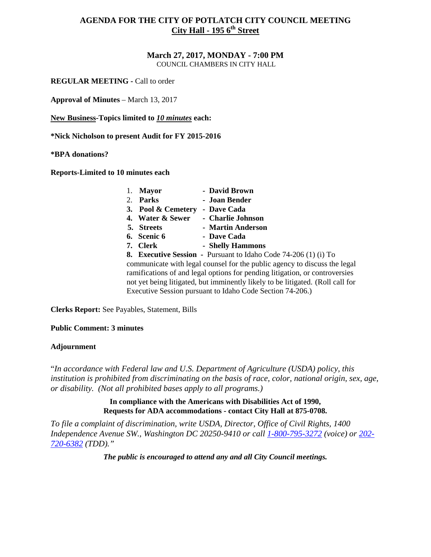# **March 27, 2017, MONDAY - 7:00 PM**

COUNCIL CHAMBERS IN CITY HALL

**REGULAR MEETING -** Call to order

**Approval of Minutes** – March 13, 2017

**New Business-Topics limited to** *10 minutes* **each:** 

**\*Nick Nicholson to present Audit for FY 2015-2016** 

**\*BPA donations?** 

**Reports-Limited to 10 minutes each**

| <b>Mayor</b><br>1.             | - David Brown                                                                  |
|--------------------------------|--------------------------------------------------------------------------------|
| Parks<br>2.                    | - Joan Bender                                                                  |
| 3. Pool & Cemetery - Dave Cada |                                                                                |
| 4. Water & Sewer               | - Charlie Johnson                                                              |
| 5. Streets                     | - Martin Anderson                                                              |
| 6. Scenic 6                    | - Dave Cada                                                                    |
| 7. Clerk                       | - Shelly Hammons                                                               |
|                                | <b>8. Executive Session</b> - Pursuant to Idaho Code 74-206 (1) (i) To         |
|                                | communicate with legal counsel for the public agency to discuss the legal      |
|                                | ramifications of and legal options for pending litigation, or controversies    |
|                                | not yet being litigated, but imminently likely to be litigated. (Roll call for |

**Clerks Report:** See Payables, Statement, Bills

# **Public Comment: 3 minutes**

# **Adjournment**

"*In accordance with Federal law and U.S. Department of Agriculture (USDA) policy, this institution is prohibited from discriminating on the basis of race, color, national origin, sex, age, or disability. (Not all prohibited bases apply to all programs.)* 

Executive Session pursuant to Idaho Code Section 74-206.)

# **In compliance with the Americans with Disabilities Act of 1990, Requests for ADA accommodations - contact City Hall at 875-0708.**

*To file a complaint of discrimination, write USDA, Director, Office of Civil Rights, 1400 Independence Avenue SW., Washington DC 20250-9410 or call [1-800-795-3272](http://www.cityofnezperce.com/1-800-795-3272) (voice) or [202-](http://www.cityofnezperce.com/202-720-6382) [720-6382](http://www.cityofnezperce.com/202-720-6382) (TDD)."*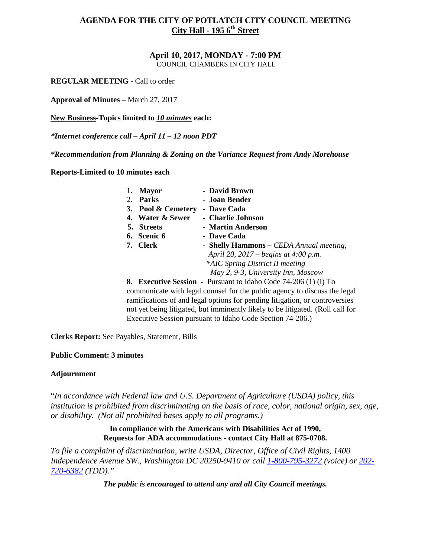**April 10, 2017, MONDAY - 7:00 PM**  COUNCIL CHAMBERS IN CITY HALL

**REGULAR MEETING -** Call to order

**Approval of Minutes** – March 27, 2017

**New Business-Topics limited to** *10 minutes* **each:** 

*\*Internet conference call – April 11 – 12 noon PDT* 

*\*Recommendation from Planning & Zoning on the Variance Request from Andy Morehouse* 

**Reports-Limited to 10 minutes each**

|    | <b>Mayor</b>       | - David Brown                                                               |
|----|--------------------|-----------------------------------------------------------------------------|
| 2. | <b>Parks</b>       | - Joan Bender                                                               |
|    | 3. Pool & Cemetery | - Dave Cada                                                                 |
|    | 4. Water & Sewer   | - Charlie Johnson                                                           |
|    | 5. Streets         | - Martin Anderson                                                           |
|    | 6. Scenic 6        | - Dave Cada                                                                 |
|    | 7. Clerk           | - Shelly Hammons – CEDA Annual meeting,                                     |
|    |                    | April 20, 2017 – begins at 4:00 p.m.                                        |
|    |                    | *AIC Spring District II meeting                                             |
|    |                    | May 2, 9-3, University Inn, Moscow                                          |
|    |                    | <b>8. Executive Session</b> - Pursuant to Idaho Code 74-206 (1) (i) To      |
|    |                    | communicate with legal counsel for the public agency to discuss the legal   |
|    |                    | ramifications of and legal options for pending litigation, or controversies |

not yet being litigated, but imminently likely to be litigated. (Roll call for

**Clerks Report:** See Payables, Statement, Bills

# **Public Comment: 3 minutes**

# **Adjournment**

"*In accordance with Federal law and U.S. Department of Agriculture (USDA) policy, this institution is prohibited from discriminating on the basis of race, color, national origin, sex, age, or disability. (Not all prohibited bases apply to all programs.)* 

Executive Session pursuant to Idaho Code Section 74-206.)

**In compliance with the Americans with Disabilities Act of 1990, Requests for ADA accommodations - contact City Hall at 875-0708.** 

*To file a complaint of discrimination, write USDA, Director, Office of Civil Rights, 1400 Independence Avenue SW., Washington DC 20250-9410 or call [1-800-795-3272](http://www.cityofnezperce.com/1-800-795-3272) (voice) or [202-](http://www.cityofnezperce.com/202-720-6382) [720-6382](http://www.cityofnezperce.com/202-720-6382) (TDD)."*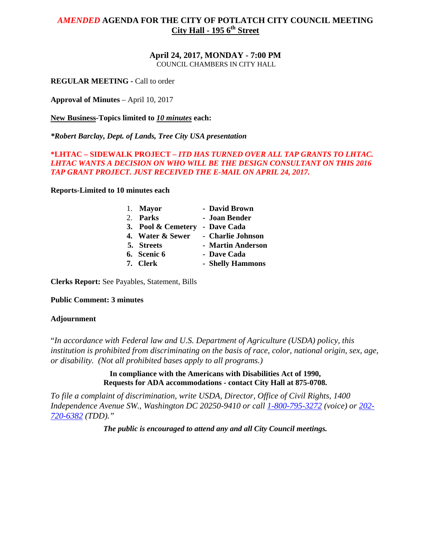**April 24, 2017, MONDAY - 7:00 PM**  COUNCIL CHAMBERS IN CITY HALL

**REGULAR MEETING -** Call to order

**Approval of Minutes** – April 10, 2017

**New Business-Topics limited to** *10 minutes* **each:** 

*\*Robert Barclay, Dept. of Lands, Tree City USA presentation*

# **\*LHTAC – SIDEWALK PROJECT –** *ITD HAS TURNED OVER ALL TAP GRANTS TO LHTAC. LHTAC WANTS A DECISION ON WHO WILL BE THE DESIGN CONSULTANT ON THIS 2016 TAP GRANT PROJECT. JUST RECEIVED THE E-MAIL ON APRIL 24, 2017.*

**Reports-Limited to 10 minutes each**

| 1. Mayor                       | - David Brown     |
|--------------------------------|-------------------|
| 2. Parks                       | - Joan Bender     |
| 3. Pool & Cemetery - Dave Cada |                   |
| 4. Water & Sewer               | - Charlie Johnson |
| 5. Streets                     | - Martin Anderson |
| 6. Scenic 6                    | - Dave Cada       |
| 7. Clerk                       | - Shelly Hammons  |

**Clerks Report:** See Payables, Statement, Bills

**Public Comment: 3 minutes**

# **Adjournment**

"*In accordance with Federal law and U.S. Department of Agriculture (USDA) policy, this institution is prohibited from discriminating on the basis of race, color, national origin, sex, age, or disability. (Not all prohibited bases apply to all programs.)* 

> **In compliance with the Americans with Disabilities Act of 1990, Requests for ADA accommodations - contact City Hall at 875-0708.**

*To file a complaint of discrimination, write USDA, Director, Office of Civil Rights, 1400 Independence Avenue SW., Washington DC 20250-9410 or call [1-800-795-3272](http://www.cityofnezperce.com/1-800-795-3272) (voice) or [202-](http://www.cityofnezperce.com/202-720-6382) [720-6382](http://www.cityofnezperce.com/202-720-6382) (TDD)."*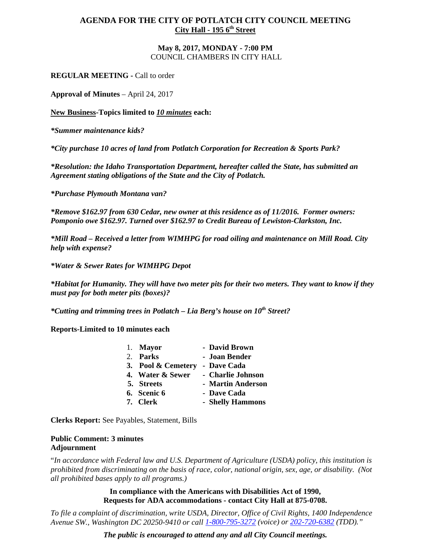### **May 8, 2017, MONDAY - 7:00 PM**  COUNCIL CHAMBERS IN CITY HALL

**REGULAR MEETING - Call to order** 

**Approval of Minutes** – April 24, 2017

**New Business-Topics limited to** *10 minutes* **each:** 

*\*Summer maintenance kids?*

*\*City purchase 10 acres of land from Potlatch Corporation for Recreation & Sports Park?* 

*\*Resolution: the Idaho Transportation Department, hereafter called the State, has submitted an Agreement stating obligations of the State and the City of Potlatch.* 

*\*Purchase Plymouth Montana van?*

*\*Remove \$162.97 from 630 Cedar, new owner at this residence as of 11/2016. Former owners: Pomponio owe \$162.97. Turned over \$162.97 to Credit Bureau of Lewiston-Clarkston, Inc.* 

*\*Mill Road – Received a letter from WIMHPG for road oiling and maintenance on Mill Road. City help with expense?*

*\*Water & Sewer Rates for WIMHPG Depot*

*\*Habitat for Humanity. They will have two meter pits for their two meters. They want to know if they must pay for both meter pits (boxes)?* 

*\*Cutting and trimming trees in Potlatch – Lia Berg's house on 10th Street?*

**Reports-Limited to 10 minutes each**

| 1. Mayor                       | - David Brown     |
|--------------------------------|-------------------|
| 2. Parks                       | - Joan Bender     |
| 3. Pool & Cemetery - Dave Cada |                   |
| 4. Water & Sewer               | - Charlie Johnson |
| 5. Streets                     | - Martin Anderson |
| 6. Scenic 6                    | - Dave Cada       |
| 7. Clerk                       | - Shelly Hammons  |

**Clerks Report:** See Payables, Statement, Bills

### **Public Comment: 3 minutes Adjournment**

"*In accordance with Federal law and U.S. Department of Agriculture (USDA) policy, this institution is prohibited from discriminating on the basis of race, color, national origin, sex, age, or disability. (Not all prohibited bases apply to all programs.)* 

> **In compliance with the Americans with Disabilities Act of 1990, Requests for ADA accommodations - contact City Hall at 875-0708.**

*To file a complaint of discrimination, write USDA, Director, Office of Civil Rights, 1400 Independence Avenue SW., Washington DC 20250-9410 or call [1-800-795-3272](http://www.cityofnezperce.com/1-800-795-3272) (voice) or [202-720-6382](http://www.cityofnezperce.com/202-720-6382) (TDD)."*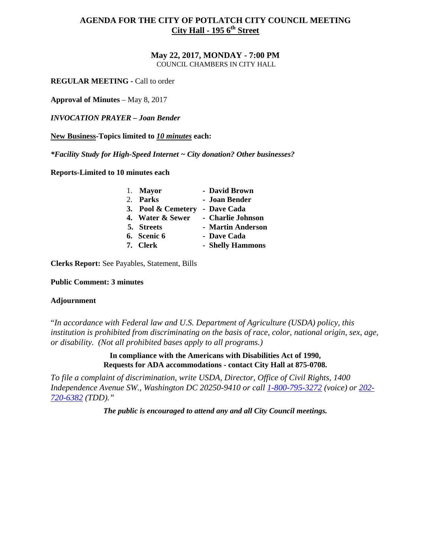**May 22, 2017, MONDAY - 7:00 PM**  COUNCIL CHAMBERS IN CITY HALL

**REGULAR MEETING - Call to order** 

**Approval of Minutes** – May 8, 2017

*INVOCATION PRAYER – Joan Bender* 

**New Business-Topics limited to** *10 minutes* **each:** 

*\*Facility Study for High-Speed Internet ~ City donation? Other businesses?*

**Reports-Limited to 10 minutes each**

| 1. Mayor           | - David Brown     |
|--------------------|-------------------|
| 2. Parks           | - Joan Bender     |
| 3. Pool & Cemetery | - Dave Cada       |
| 4. Water & Sewer   | - Charlie Johnson |
| 5. Streets         | - Martin Anderson |
| 6. Scenic 6        | - Dave Cada       |
| 7. Clerk           | - Shelly Hammons  |

**Clerks Report:** See Payables, Statement, Bills

**Public Comment: 3 minutes**

### **Adjournment**

"*In accordance with Federal law and U.S. Department of Agriculture (USDA) policy, this institution is prohibited from discriminating on the basis of race, color, national origin, sex, age, or disability. (Not all prohibited bases apply to all programs.)* 

> **In compliance with the Americans with Disabilities Act of 1990, Requests for ADA accommodations - contact City Hall at 875-0708.**

*To file a complaint of discrimination, write USDA, Director, Office of Civil Rights, 1400 Independence Avenue SW., Washington DC 20250-9410 or call [1-800-795-3272](http://www.cityofnezperce.com/1-800-795-3272) (voice) or [202-](http://www.cityofnezperce.com/202-720-6382) [720-6382](http://www.cityofnezperce.com/202-720-6382) (TDD)."*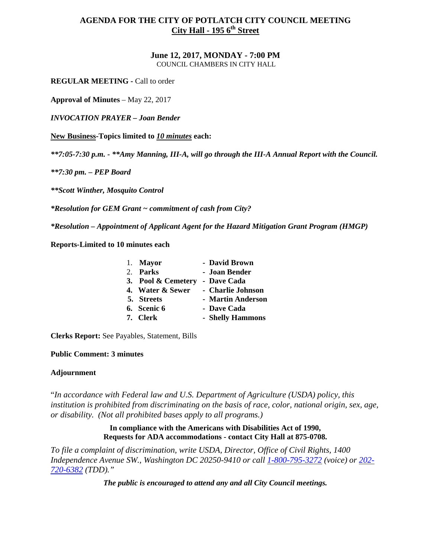**June 12, 2017, MONDAY - 7:00 PM**  COUNCIL CHAMBERS IN CITY HALL

**REGULAR MEETING -** Call to order

**Approval of Minutes** – May 22, 2017

*INVOCATION PRAYER – Joan Bender* 

**New Business-Topics limited to** *10 minutes* **each:** 

*\*\*7:05-7:30 p.m. - \*\*Amy Manning, III-A, will go through the III-A Annual Report with the Council.* 

*\*\*7:30 pm. – PEP Board*

*\*\*Scott Winther, Mosquito Control* 

*\*Resolution for GEM Grant ~ commitment of cash from City?*

*\*Resolution – Appointment of Applicant Agent for the Hazard Mitigation Grant Program (HMGP)* 

**Reports-Limited to 10 minutes each**

| 1. Mayor           | - David Brown     |
|--------------------|-------------------|
| 2. Parks           | - Joan Bender     |
| 3. Pool & Cemetery | - Dave Cada       |
| 4. Water & Sewer   | - Charlie Johnson |
| 5. Streets         | - Martin Anderson |
| 6. Scenic 6        | - Dave Cada       |
| 7. Clerk           | - Shelly Hammons  |

**Clerks Report:** See Payables, Statement, Bills

# **Public Comment: 3 minutes**

# **Adjournment**

"*In accordance with Federal law and U.S. Department of Agriculture (USDA) policy, this institution is prohibited from discriminating on the basis of race, color, national origin, sex, age, or disability. (Not all prohibited bases apply to all programs.)* 

> **In compliance with the Americans with Disabilities Act of 1990, Requests for ADA accommodations - contact City Hall at 875-0708.**

*To file a complaint of discrimination, write USDA, Director, Office of Civil Rights, 1400 Independence Avenue SW., Washington DC 20250-9410 or call [1-800-795-3272](http://www.cityofnezperce.com/1-800-795-3272) (voice) or [202-](http://www.cityofnezperce.com/202-720-6382) [720-6382](http://www.cityofnezperce.com/202-720-6382) (TDD)."*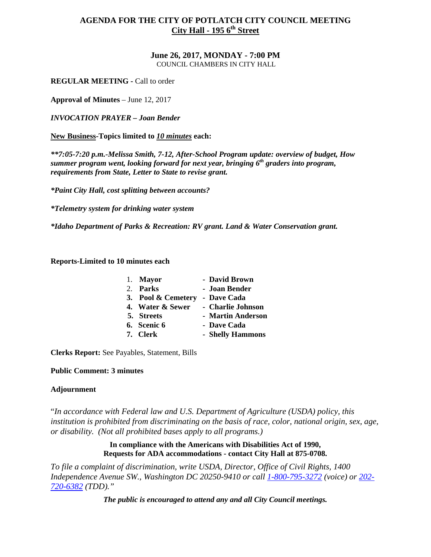**June 26, 2017, MONDAY - 7:00 PM**  COUNCIL CHAMBERS IN CITY HALL

**REGULAR MEETING -** Call to order

**Approval of Minutes** – June 12, 2017

*INVOCATION PRAYER – Joan Bender* 

**New Business-Topics limited to** *10 minutes* **each:** 

*\*\*7:05-7:20 p.m.-Melissa Smith, 7-12, After-School Program update: overview of budget, How summer program went, looking forward for next year, bringing 6th graders into program, requirements from State, Letter to State to revise grant.*

*\*Paint City Hall, cost splitting between accounts?*

*\*Telemetry system for drinking water system*

*\*Idaho Department of Parks & Recreation: RV grant. Land & Water Conservation grant.* 

**Reports-Limited to 10 minutes each**

| 1. Mayor           | - David Brown     |
|--------------------|-------------------|
| 2. Parks           | - Joan Bender     |
| 3. Pool & Cemetery | - Dave Cada       |
| 4. Water & Sewer   | - Charlie Johnson |
| 5. Streets         | - Martin Anderson |
| 6. Scenic 6        | - Dave Cada       |
| 7. Clerk           | - Shelly Hammons  |

**Clerks Report:** See Payables, Statement, Bills

# **Public Comment: 3 minutes**

# **Adjournment**

"*In accordance with Federal law and U.S. Department of Agriculture (USDA) policy, this institution is prohibited from discriminating on the basis of race, color, national origin, sex, age, or disability. (Not all prohibited bases apply to all programs.)* 

> **In compliance with the Americans with Disabilities Act of 1990, Requests for ADA accommodations - contact City Hall at 875-0708.**

*To file a complaint of discrimination, write USDA, Director, Office of Civil Rights, 1400 Independence Avenue SW., Washington DC 20250-9410 or call [1-800-795-3272](http://www.cityofnezperce.com/1-800-795-3272) (voice) or [202-](http://www.cityofnezperce.com/202-720-6382) [720-6382](http://www.cityofnezperce.com/202-720-6382) (TDD)."*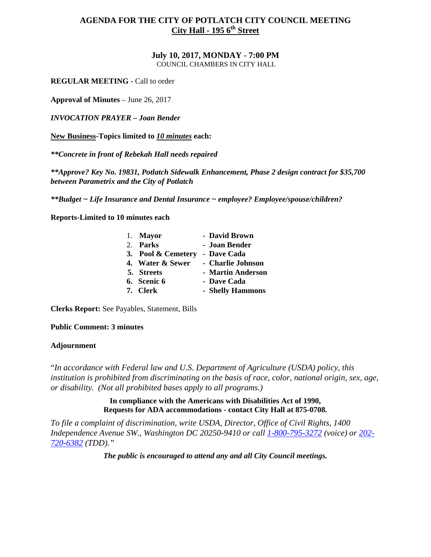**July 10, 2017, MONDAY - 7:00 PM**  COUNCIL CHAMBERS IN CITY HALL

**REGULAR MEETING -** Call to order

**Approval of Minutes** – June 26, 2017

*INVOCATION PRAYER – Joan Bender* 

**New Business-Topics limited to** *10 minutes* **each:** 

*\*\*Concrete in front of Rebekah Hall needs repaired*

*\*\*Approve? Key No. 19831, Potlatch Sidewalk Enhancement, Phase 2 design contract for \$35,700 between Parametrix and the City of Potlatch* 

*\*\*Budget ~ Life Insurance and Dental Insurance ~ employee? Employee/spouse/children?*

**Reports-Limited to 10 minutes each**

| 1. Mayor           | - David Brown     |
|--------------------|-------------------|
| 2. Parks           | - Joan Bender     |
| 3. Pool & Cemetery | - Dave Cada       |
| 4. Water & Sewer   | - Charlie Johnson |
| 5. Streets         | - Martin Anderson |
| 6. Scenic 6        | - Dave Cada       |
| 7. Clerk           | - Shelly Hammons  |

**Clerks Report:** See Payables, Statement, Bills

**Public Comment: 3 minutes**

### **Adjournment**

"*In accordance with Federal law and U.S. Department of Agriculture (USDA) policy, this institution is prohibited from discriminating on the basis of race, color, national origin, sex, age, or disability. (Not all prohibited bases apply to all programs.)* 

> **In compliance with the Americans with Disabilities Act of 1990, Requests for ADA accommodations - contact City Hall at 875-0708.**

*To file a complaint of discrimination, write USDA, Director, Office of Civil Rights, 1400 Independence Avenue SW., Washington DC 20250-9410 or call [1-800-795-3272](http://www.cityofnezperce.com/1-800-795-3272) (voice) or [202-](http://www.cityofnezperce.com/202-720-6382) [720-6382](http://www.cityofnezperce.com/202-720-6382) (TDD)."*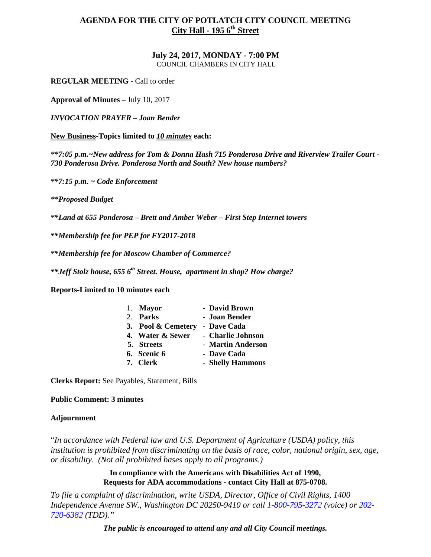### **July 24, 2017, MONDAY - 7:00 PM**  COUNCIL CHAMBERS IN CITY HALL

**REGULAR MEETING -** Call to order

**Approval of Minutes** – July 10, 2017

*INVOCATION PRAYER – Joan Bender* 

**New Business-Topics limited to** *10 minutes* **each:** 

*\*\*7:05 p.m.~New address for Tom & Donna Hash 715 Ponderosa Drive and Riverview Trailer Court - 730 Ponderosa Drive. Ponderosa North and South? New house numbers?* 

*\*\*7:15 p.m. ~ Code Enforcement* 

*\*\*Proposed Budget* 

*\*\*Land at 655 Ponderosa – Brett and Amber Weber – First Step Internet towers*

*\*\*Membership fee for PEP for FY2017-2018* 

*\*\*Membership fee for Moscow Chamber of Commerce?*

*\*\*Jeff Stolz house, 655 6th Street. House, apartment in shop? How charge?* 

**Reports-Limited to 10 minutes each**

| 1. Mayor           | - David Brown     |
|--------------------|-------------------|
| 2. Parks           | - Joan Bender     |
| 3. Pool & Cemetery | - Dave Cada       |
| 4. Water & Sewer   | - Charlie Johnson |
| 5. Streets         | - Martin Anderson |
| 6. Scenic 6        | - Dave Cada       |
| 7. Clerk           | - Shelly Hammons  |
|                    |                   |

**Clerks Report:** See Payables, Statement, Bills

# **Public Comment: 3 minutes**

# **Adjournment**

"*In accordance with Federal law and U.S. Department of Agriculture (USDA) policy, this institution is prohibited from discriminating on the basis of race, color, national origin, sex, age, or disability. (Not all prohibited bases apply to all programs.)* 

> **In compliance with the Americans with Disabilities Act of 1990, Requests for ADA accommodations - contact City Hall at 875-0708.**

*To file a complaint of discrimination, write USDA, Director, Office of Civil Rights, 1400 Independence Avenue SW., Washington DC 20250-9410 or call [1-800-795-3272](http://www.cityofnezperce.com/1-800-795-3272) (voice) or [202-](http://www.cityofnezperce.com/202-720-6382) [720-6382](http://www.cityofnezperce.com/202-720-6382) (TDD)."*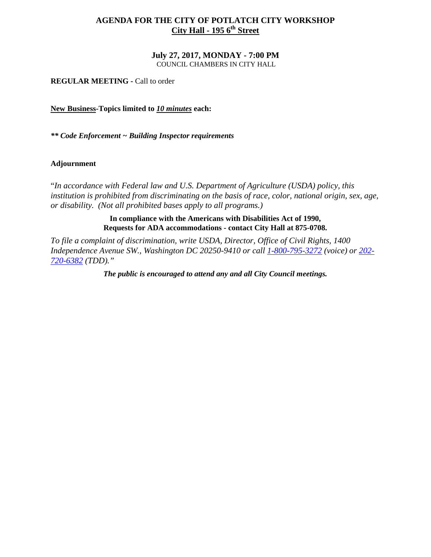# **AGENDA FOR THE CITY OF POTLATCH CITY WORKSHOP City Hall - 195 6<sup>th</sup> Street**

# **July 27, 2017, MONDAY - 7:00 PM**

COUNCIL CHAMBERS IN CITY HALL

**REGULAR MEETING -** Call to order

**New Business-Topics limited to** *10 minutes* **each:** 

*\*\* Code Enforcement ~ Building Inspector requirements*

# **Adjournment**

"*In accordance with Federal law and U.S. Department of Agriculture (USDA) policy, this institution is prohibited from discriminating on the basis of race, color, national origin, sex, age, or disability. (Not all prohibited bases apply to all programs.)* 

> **In compliance with the Americans with Disabilities Act of 1990, Requests for ADA accommodations - contact City Hall at 875-0708.**

*To file a complaint of discrimination, write USDA, Director, Office of Civil Rights, 1400 Independence Avenue SW., Washington DC 20250-9410 or call [1-800-795-3272](http://www.cityofnezperce.com/1-800-795-3272) (voice) or [202-](http://www.cityofnezperce.com/202-720-6382) [720-6382](http://www.cityofnezperce.com/202-720-6382) (TDD)."*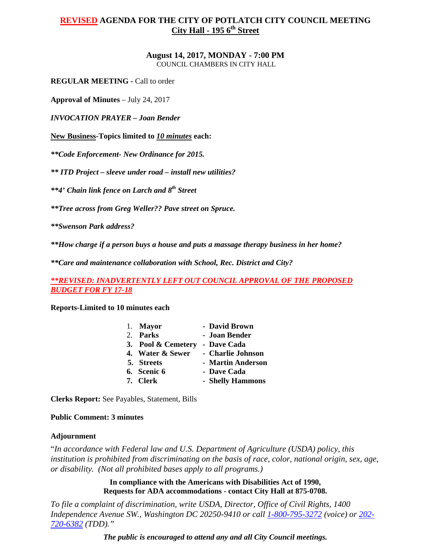#### **August 14, 2017, MONDAY - 7:00 PM**  COUNCIL CHAMBERS IN CITY HALL

**REGULAR MEETING -** Call to order

**Approval of Minutes** – July 24, 2017

*INVOCATION PRAYER – Joan Bender*

**New Business-Topics limited to** *10 minutes* **each:** 

*\*\*Code Enforcement- New Ordinance for 2015.* 

*\*\* ITD Project – sleeve under road – install new utilities?*

*\*\*4' Chain link fence on Larch and 8th Street*

*\*\*Tree across from Greg Weller?? Pave street on Spruce.*

*\*\*Swenson Park address?* 

*\*\*How charge if a person buys a house and puts a massage therapy business in her home?*

*\*\*Care and maintenance collaboration with School, Rec. District and City?* 

*\*\*REVISED: INADVERTENTLY LEFT OUT COUNCIL APPROVAL OF THE PROPOSED BUDGET FOR FY 17-18*

**Reports-Limited to 10 minutes each**

| 1. Mayor           | - David Brown     |
|--------------------|-------------------|
| 2. Parks           | - Joan Bender     |
| 3. Pool & Cemetery | - Dave Cada       |
| 4. Water & Sewer   | - Charlie Johnson |
| 5. Streets         | - Martin Anderson |
| 6. Scenic 6        | - Dave Cada       |
| 7. Clerk           | - Shelly Hammons  |

**Clerks Report:** See Payables, Statement, Bills

### **Public Comment: 3 minutes**

### **Adjournment**

"*In accordance with Federal law and U.S. Department of Agriculture (USDA) policy, this institution is prohibited from discriminating on the basis of race, color, national origin, sex, age, or disability. (Not all prohibited bases apply to all programs.)* 

> **In compliance with the Americans with Disabilities Act of 1990, Requests for ADA accommodations - contact City Hall at 875-0708.**

*To file a complaint of discrimination, write USDA, Director, Office of Civil Rights, 1400 Independence Avenue SW., Washington DC 20250-9410 or call [1-800-795-3272](http://www.cityofnezperce.com/1-800-795-3272) (voice) or [202-](http://www.cityofnezperce.com/202-720-6382) [720-6382](http://www.cityofnezperce.com/202-720-6382) (TDD)."*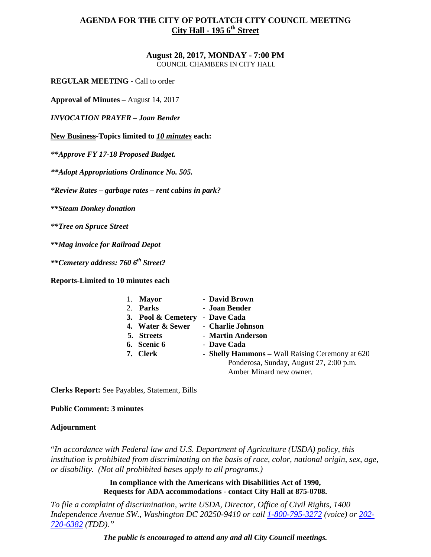#### **August 28, 2017, MONDAY - 7:00 PM**  COUNCIL CHAMBERS IN CITY HALL

**REGULAR MEETING -** Call to order

**Approval of Minutes** – August 14, 2017

*INVOCATION PRAYER – Joan Bender* 

**New Business-Topics limited to** *10 minutes* **each:** 

*\*\*Approve FY 17-18 Proposed Budget.* 

*\*\*Adopt Appropriations Ordinance No. 505.* 

*\*Review Rates – garbage rates – rent cabins in park?* 

*\*\*Steam Donkey donation* 

*\*\*Tree on Spruce Street*

*\*\*Mag invoice for Railroad Depot* 

*\*\*Cemetery address: 760 6th Street?*

**Reports-Limited to 10 minutes each**

|    | <b>Mayor</b>       | - David Brown                                   |
|----|--------------------|-------------------------------------------------|
| 2. | <b>Parks</b>       | - Joan Bender                                   |
|    | 3. Pool & Cemetery | - Dave Cada                                     |
|    | 4. Water & Sewer   | - Charlie Johnson                               |
|    | 5. Streets         | - Martin Anderson                               |
|    | 6. Scenic 6        | - Dave Cada                                     |
|    | 7. Clerk           | - Shelly Hammons - Wall Raising Ceremony at 620 |
|    |                    | Ponderosa, Sunday, August 27, 2:00 p.m.         |
|    |                    | Amber Minard new owner.                         |
|    |                    |                                                 |

**Clerks Report:** See Payables, Statement, Bills

**Public Comment: 3 minutes**

# **Adjournment**

"*In accordance with Federal law and U.S. Department of Agriculture (USDA) policy, this institution is prohibited from discriminating on the basis of race, color, national origin, sex, age, or disability. (Not all prohibited bases apply to all programs.)* 

> **In compliance with the Americans with Disabilities Act of 1990, Requests for ADA accommodations - contact City Hall at 875-0708.**

*To file a complaint of discrimination, write USDA, Director, Office of Civil Rights, 1400 Independence Avenue SW., Washington DC 20250-9410 or call [1-800-795-3272](http://www.cityofnezperce.com/1-800-795-3272) (voice) or [202-](http://www.cityofnezperce.com/202-720-6382) [720-6382](http://www.cityofnezperce.com/202-720-6382) (TDD)."*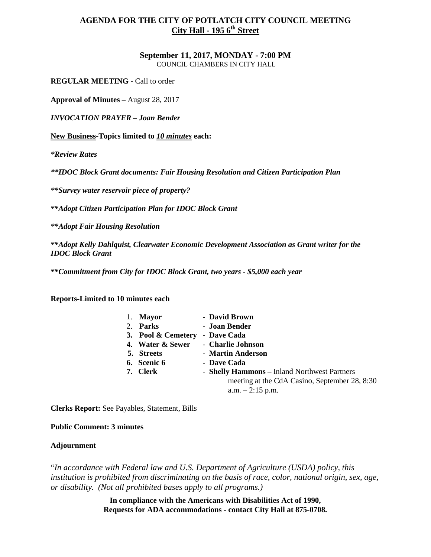### **September 11, 2017, MONDAY - 7:00 PM**  COUNCIL CHAMBERS IN CITY HALL

**REGULAR MEETING -** Call to order

**Approval of Minutes** – August 28, 2017

*INVOCATION PRAYER – Joan Bender* 

**New Business-Topics limited to** *10 minutes* **each:** 

*\*Review Rates* 

*\*\*IDOC Block Grant documents: Fair Housing Resolution and Citizen Participation Plan*

*\*\*Survey water reservoir piece of property?*

*\*\*Adopt Citizen Participation Plan for IDOC Block Grant*

*\*\*Adopt Fair Housing Resolution*

*\*\*Adopt Kelly Dahlquist, Clearwater Economic Development Association as Grant writer for the IDOC Block Grant*

*\*\*Commitment from City for IDOC Block Grant, two years - \$5,000 each year* 

**Reports-Limited to 10 minutes each**

| 1. Mayor           | - David Brown                                 |
|--------------------|-----------------------------------------------|
| 2. Parks           | - Joan Bender                                 |
| 3. Pool & Cemetery | - Dave Cada                                   |
| 4. Water & Sewer   | - Charlie Johnson                             |
| 5. Streets         | - Martin Anderson                             |
| 6. Scenic 6        | - Dave Cada                                   |
| 7. Clerk           | - Shelly Hammons - Inland Northwest Partners  |
|                    | meeting at the CdA Casino, September 28, 8:30 |
|                    | $a.m. - 2:15$ p.m.                            |
|                    |                                               |

**Clerks Report:** See Payables, Statement, Bills

**Public Comment: 3 minutes**

### **Adjournment**

"*In accordance with Federal law and U.S. Department of Agriculture (USDA) policy, this institution is prohibited from discriminating on the basis of race, color, national origin, sex, age, or disability. (Not all prohibited bases apply to all programs.)* 

> **In compliance with the Americans with Disabilities Act of 1990, Requests for ADA accommodations - contact City Hall at 875-0708.**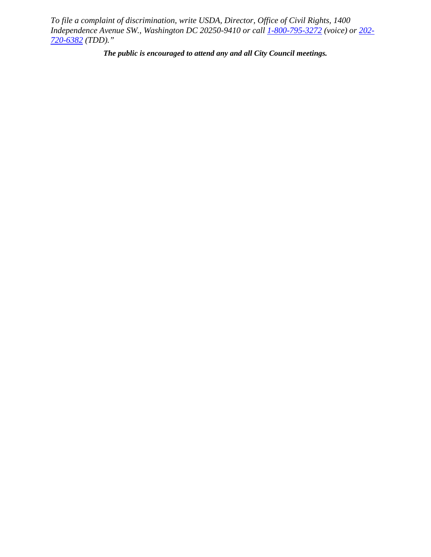*To file a complaint of discrimination, write USDA, Director, Office of Civil Rights, 1400 Independence Avenue SW., Washington DC 20250-9410 or call [1-800-795-3272](http://www.cityofnezperce.com/1-800-795-3272) (voice) or [202-](http://www.cityofnezperce.com/202-720-6382) [720-6382](http://www.cityofnezperce.com/202-720-6382) (TDD)."*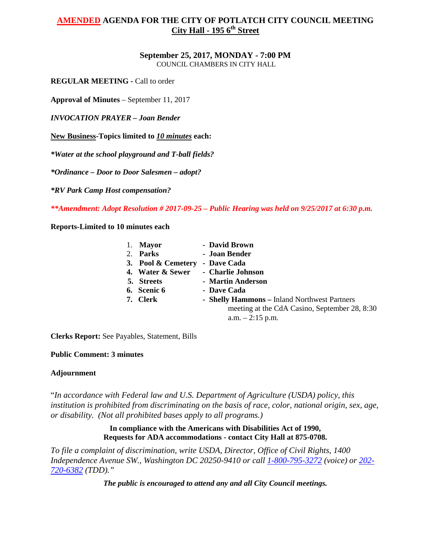# **September 25, 2017, MONDAY - 7:00 PM**

COUNCIL CHAMBERS IN CITY HALL

**REGULAR MEETING -** Call to order

**Approval of Minutes** – September 11, 2017

*INVOCATION PRAYER – Joan Bender* 

**New Business-Topics limited to** *10 minutes* **each:** 

*\*Water at the school playground and T-ball fields?*

*\*Ordinance – Door to Door Salesmen – adopt?* 

*\*RV Park Camp Host compensation?* 

*\*\*Amendment: Adopt Resolution # 2017-09-25 – Public Hearing was held on 9/25/2017 at 6:30 p.m.* 

**Reports-Limited to 10 minutes each**

| 1. Mayor           | - David Brown                                 |
|--------------------|-----------------------------------------------|
| 2. Parks           | - Joan Bender                                 |
| 3. Pool & Cemetery | - Dave Cada                                   |
| 4. Water & Sewer   | - Charlie Johnson                             |
| 5. Streets         | - Martin Anderson                             |
| 6. Scenic 6        | - Dave Cada                                   |
| 7. Clerk           | - Shelly Hammons - Inland Northwest Partners  |
|                    | meeting at the CdA Casino, September 28, 8:30 |
|                    | $a.m. - 2:15$ p.m.                            |

**Clerks Report:** See Payables, Statement, Bills

### **Public Comment: 3 minutes**

### **Adjournment**

"*In accordance with Federal law and U.S. Department of Agriculture (USDA) policy, this institution is prohibited from discriminating on the basis of race, color, national origin, sex, age, or disability. (Not all prohibited bases apply to all programs.)* 

> **In compliance with the Americans with Disabilities Act of 1990, Requests for ADA accommodations - contact City Hall at 875-0708.**

*To file a complaint of discrimination, write USDA, Director, Office of Civil Rights, 1400 Independence Avenue SW., Washington DC 20250-9410 or call [1-800-795-3272](http://www.cityofnezperce.com/1-800-795-3272) (voice) or [202-](http://www.cityofnezperce.com/202-720-6382) [720-6382](http://www.cityofnezperce.com/202-720-6382) (TDD)."*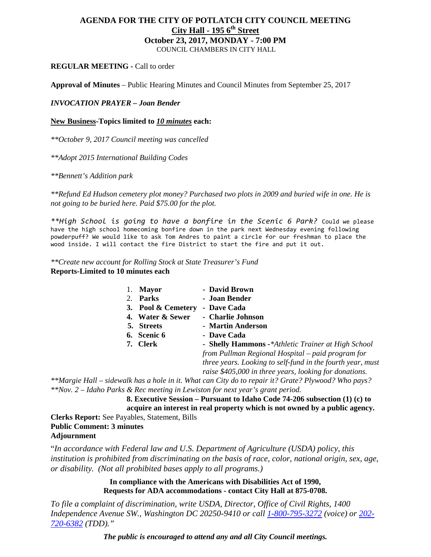# **AGENDA FOR THE CITY OF POTLATCH CITY COUNCIL MEETING City Hall - 195 6<sup>th</sup> Street October 23, 2017, MONDAY - 7:00 PM**  COUNCIL CHAMBERS IN CITY HALL

### **REGULAR MEETING -** Call to order

**Approval of Minutes** – Public Hearing Minutes and Council Minutes from September 25, 2017

### *INVOCATION PRAYER – Joan Bender*

### **New Business-Topics limited to** *10 minutes* **each:**

*\*\*October 9, 2017 Council meeting was cancelled*

*\*\*Adopt 2015 International Building Codes* 

*\*\*Bennett's Addition park* 

*\*\*Refund Ed Hudson cemetery plot money? Purchased two plots in 2009 and buried wife in one. He is not going to be buried here. Paid \$75.00 for the plot.* 

*\*\*High School is going to have a bonfire in the Scenic 6 Park?* Could we please have the high school homecoming bonfire down in the park next Wednesday evening following powderpuff? We would like to ask Tom Andres to paint a circle for our freshman to place the wood inside. I will contact the fire District to start the fire and put it out.

*\*\*Create new account for Rolling Stock at State Treasurer's Fund*  **Reports-Limited to 10 minutes each**

| <b>Mayor</b>       | - David Brown                                              |
|--------------------|------------------------------------------------------------|
| 2. Parks           | - Joan Bender                                              |
| 3. Pool & Cemetery | - Dave Cada                                                |
| 4. Water & Sewer   | - Charlie Johnson                                          |
| 5. Streets         | - Martin Anderson                                          |
| 6. Scenic 6        | - Dave Cada                                                |
| 7. Clerk           | - Shelly Hammons -*Athletic Trainer at High School         |
|                    | from Pullman Regional Hospital – paid program for          |
|                    | three years. Looking to self-fund in the fourth year, must |
|                    | raise \$405,000 in three years, looking for donations.     |
|                    |                                                            |

*\*\*Margie Hall – sidewalk has a hole in it. What can City do to repair it? Grate? Plywood? Who pays? \*\*Nov. 2 – Idaho Parks & Rec meeting in Lewiston for next year's grant period.* 

**8. Executive Session – Pursuant to Idaho Code 74-206 subsection (1) (c) to acquire an interest in real property which is not owned by a public agency. Clerks Report:** See Payables, Statement, Bills

**Public Comment: 3 minutes Adjournment**

"*In accordance with Federal law and U.S. Department of Agriculture (USDA) policy, this institution is prohibited from discriminating on the basis of race, color, national origin, sex, age, or disability. (Not all prohibited bases apply to all programs.)* 

> **In compliance with the Americans with Disabilities Act of 1990, Requests for ADA accommodations - contact City Hall at 875-0708.**

*To file a complaint of discrimination, write USDA, Director, Office of Civil Rights, 1400 Independence Avenue SW., Washington DC 20250-9410 or call [1-800-795-3272](http://www.cityofnezperce.com/1-800-795-3272) (voice) or [202-](http://www.cityofnezperce.com/202-720-6382) [720-6382](http://www.cityofnezperce.com/202-720-6382) (TDD)."*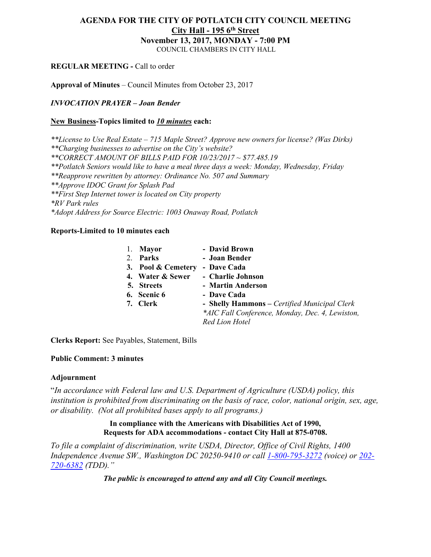# **AGENDA FOR THE CITY OF POTLATCH CITY COUNCIL MEETING City Hall - 195 6th Street November 13, 2017, MONDAY - 7:00 PM**

COUNCIL CHAMBERS IN CITY HALL

# **REGULAR MEETING -** Call to order

**Approval of Minutes** – Council Minutes from October 23, 2017

# *INVOCATION PRAYER – Joan Bender*

# **New Business-Topics limited to** *10 minutes* **each:**

*\*\*License to Use Real Estate – 715 Maple Street? Approve new owners for license? (Was Dirks) \*\*Charging businesses to advertise on the City's website? \*\*CORRECT AMOUNT OF BILLS PAID FOR 10/23/2017 ~ \$77.485.19 \*\*Potlatch Seniors would like to have a meal three days a week: Monday, Wednesday, Friday \*\*Reapprove rewritten by attorney: Ordinance No. 507 and Summary \*\*Approve IDOC Grant for Splash Pad \*\*First Step Internet tower is located on City property \*RV Park rules \*Adopt Address for Source Electric: 1003 Onaway Road, Potlatch*

# **Reports-Limited to 10 minutes each**

| 1. | <b>Mayor</b>       | - David Brown                                   |
|----|--------------------|-------------------------------------------------|
|    | 2. Parks           | - Joan Bender                                   |
|    | 3. Pool & Cemetery | - Dave Cada                                     |
|    | 4. Water & Sewer   | - Charlie Johnson                               |
|    | 5. Streets         | - Martin Anderson                               |
|    | 6. Scenic 6        | - Dave Cada                                     |
|    | 7. Clerk           | - Shelly Hammons - Certified Municipal Clerk    |
|    |                    | *AIC Fall Conference, Monday, Dec. 4, Lewiston, |
|    |                    | <b>Red Lion Hotel</b>                           |
|    |                    |                                                 |

**Clerks Report:** See Payables, Statement, Bills

# **Public Comment: 3 minutes**

# **Adjournment**

"*In accordance with Federal law and U.S. Department of Agriculture (USDA) policy, this institution is prohibited from discriminating on the basis of race, color, national origin, sex, age, or disability. (Not all prohibited bases apply to all programs.)*

# **In compliance with the Americans with Disabilities Act of 1990, Requests for ADA accommodations - contact City Hall at 875-0708.**

*To file a complaint of discrimination, write USDA, Director, Office of Civil Rights, 1400 Independence Avenue SW., Washington DC 20250-9410 or call [1-800-795-3272](http://www.cityofnezperce.com/1-800-795-3272) (voice) or [202-](http://www.cityofnezperce.com/202-720-6382) [720-6382](http://www.cityofnezperce.com/202-720-6382) (TDD)."*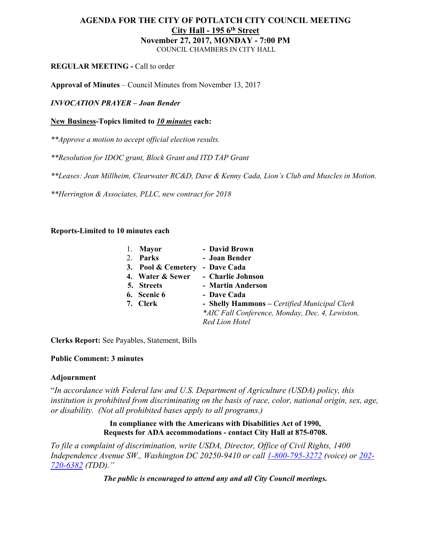# **AGENDA FOR THE CITY OF POTLATCH CITY COUNCIL MEETING City Hall - 195 6th Street November 27, 2017, MONDAY - 7:00 PM** COUNCIL CHAMBERS IN CITY HALL

# **REGULAR MEETING -** Call to order

**Approval of Minutes** – Council Minutes from November 13, 2017

*INVOCATION PRAYER – Joan Bender*

# **New Business-Topics limited to** *10 minutes* **each:**

*\*\*Approve a motion to accept official election results.*

*\*\*Resolution for IDOC grant, Block Grant and ITD TAP Grant*

*\*\*Leases: Jean Millheim, Clearwater RC&D, Dave & Kenny Cada, Lion's Club and Muscles in Motion.*

*\*\*Herrington & Associates, PLLC, new contract for 2018*

# **Reports-Limited to 10 minutes each**

| 1. | <b>Mayor</b>       | - David Brown                                   |
|----|--------------------|-------------------------------------------------|
| 2. | Parks              | - Joan Bender                                   |
|    | 3. Pool & Cemetery | - Dave Cada                                     |
|    | 4. Water & Sewer   | - Charlie Johnson                               |
|    | 5. Streets         | - Martin Anderson                               |
|    | 6. Scenic 6        | - Dave Cada                                     |
|    | 7. Clerk           | - Shelly Hammons – Certified Municipal Clerk    |
|    |                    | *AIC Fall Conference, Monday, Dec. 4, Lewiston, |
|    |                    | Red Lion Hotel                                  |
|    |                    |                                                 |

**Clerks Report:** See Payables, Statement, Bills

# **Public Comment: 3 minutes**

# **Adjournment**

"*In accordance with Federal law and U.S. Department of Agriculture (USDA) policy, this institution is prohibited from discriminating on the basis of race, color, national origin, sex, age, or disability. (Not all prohibited bases apply to all programs.)*

# **In compliance with the Americans with Disabilities Act of 1990, Requests for ADA accommodations - contact City Hall at 875-0708.**

*To file a complaint of discrimination, write USDA, Director, Office of Civil Rights, 1400 Independence Avenue SW., Washington DC 20250-9410 or call [1-800-795-3272](http://www.cityofnezperce.com/1-800-795-3272) (voice) or [202-](http://www.cityofnezperce.com/202-720-6382) [720-6382](http://www.cityofnezperce.com/202-720-6382) (TDD)."*